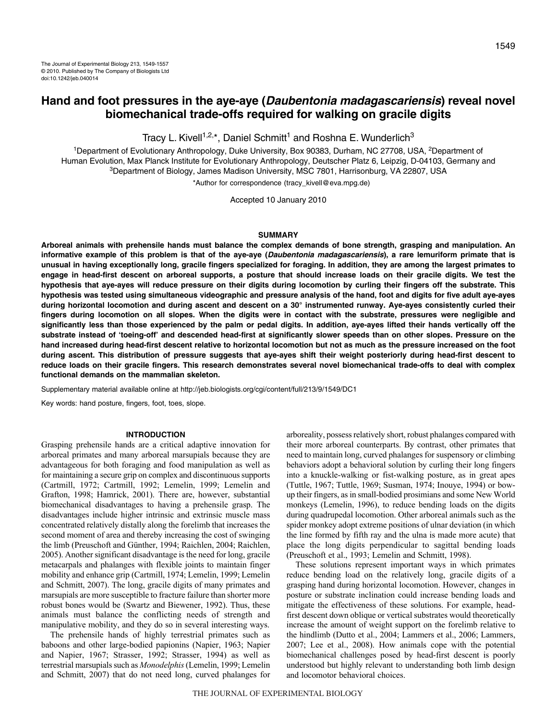Tracy L. Kivell<sup>1,2,\*</sup>, Daniel Schmitt<sup>1</sup> and Roshna E. Wunderlich<sup>3</sup>

<sup>1</sup>Department of Evolutionary Anthropology, Duke University, Box 90383, Durham, NC 27708, USA, <sup>2</sup>Department of Human Evolution, Max Planck Institute for Evolutionary Anthropology, Deutscher Platz 6, Leipzig, D-04103, Germany and 3Department of Biology, James Madison University, MSC 7801, Harrisonburg, VA 22807, USA \*Author for correspondence (tracy\_kivell@eva.mpg.de)

Accepted 10 January 2010

#### **SUMMARY**

**Arboreal animals with prehensile hands must balance the complex demands of bone strength, grasping and manipulation. An informative example of this problem is that of the aye-aye (Daubentonia madagascariensis), a rare lemuriform primate that is unusual in having exceptionally long, gracile fingers specialized for foraging. In addition, they are among the largest primates to engage in head-first descent on arboreal supports, a posture that should increase loads on their gracile digits. We test the hypothesis that aye-ayes will reduce pressure on their digits during locomotion by curling their fingers off the substrate. This hypothesis was tested using simultaneous videographic and pressure analysis of the hand, foot and digits for five adult aye-ayes during horizontal locomotion and during ascent and descent on a 30° instrumented runway. Aye-ayes consistently curled their fingers during locomotion on all slopes. When the digits were in contact with the substrate, pressures were negligible and significantly less than those experienced by the palm or pedal digits. In addition, aye-ayes lifted their hands vertically off the substrate instead of 'toeing-off' and descended head-first at significantly slower speeds than on other slopes. Pressure on the hand increased during head-first descent relative to horizontal locomotion but not as much as the pressure increased on the foot during ascent. This distribution of pressure suggests that aye-ayes shift their weight posteriorly during head-first descent to reduce loads on their gracile fingers. This research demonstrates several novel biomechanical trade-offs to deal with complex functional demands on the mammalian skeleton.**

Supplementary material available online at http://jeb.biologists.org/cgi/content/full/213/9/1549/DC1

Key words: hand posture, fingers, foot, toes, slope.

# **INTRODUCTION**

Grasping prehensile hands are a critical adaptive innovation for arboreal primates and many arboreal marsupials because they are advantageous for both foraging and food manipulation as well as for maintaining a secure grip on complex and discontinuous supports (Cartmill, 1972; Cartmill, 1992; Lemelin, 1999; Lemelin and Grafton, 1998; Hamrick, 2001). There are, however, substantial biomechanical disadvantages to having a prehensile grasp. The disadvantages include higher intrinsic and extrinsic muscle mass concentrated relatively distally along the forelimb that increases the second moment of area and thereby increasing the cost of swinging the limb (Preuschoft and Günther, 1994; Raichlen, 2004; Raichlen, 2005). Another significant disadvantage is the need for long, gracile metacarpals and phalanges with flexible joints to maintain finger mobility and enhance grip (Cartmill, 1974; Lemelin, 1999; Lemelin and Schmitt, 2007). The long, gracile digits of many primates and marsupials are more susceptible to fracture failure than shorter more robust bones would be (Swartz and Biewener, 1992). Thus, these animals must balance the conflicting needs of strength and manipulative mobility, and they do so in several interesting ways.

The prehensile hands of highly terrestrial primates such as baboons and other large-bodied papionins (Napier, 1963; Napier and Napier, 1967; Strasser, 1992; Strasser, 1994) as well as terrestrial marsupials such as *Monodelphis*(Lemelin, 1999; Lemelin and Schmitt, 2007) that do not need long, curved phalanges for arboreality, possess relatively short, robust phalanges compared with their more arboreal counterparts. By contrast, other primates that need to maintain long, curved phalanges for suspensory or climbing behaviors adopt a behavioral solution by curling their long fingers into a knuckle-walking or fist-walking posture, as in great apes (Tuttle, 1967; Tuttle, 1969; Susman, 1974; Inouye, 1994) or bowup their fingers, as in small-bodied prosimians and some New World monkeys (Lemelin, 1996), to reduce bending loads on the digits during quadrupedal locomotion. Other arboreal animals such as the spider monkey adopt extreme positions of ulnar deviation (in which the line formed by fifth ray and the ulna is made more acute) that place the long digits perpendicular to sagittal bending loads (Preuschoft et al., 1993; Lemelin and Schmitt, 1998).

These solutions represent important ways in which primates reduce bending load on the relatively long, gracile digits of a grasping hand during horizontal locomotion. However, changes in posture or substrate inclination could increase bending loads and mitigate the effectiveness of these solutions. For example, headfirst descent down oblique or vertical substrates would theoretically increase the amount of weight support on the forelimb relative to the hindlimb (Dutto et al., 2004; Lammers et al., 2006; Lammers, 2007; Lee et al., 2008). How animals cope with the potential biomechanical challenges posed by head-first descent is poorly understood but highly relevant to understanding both limb design and locomotor behavioral choices.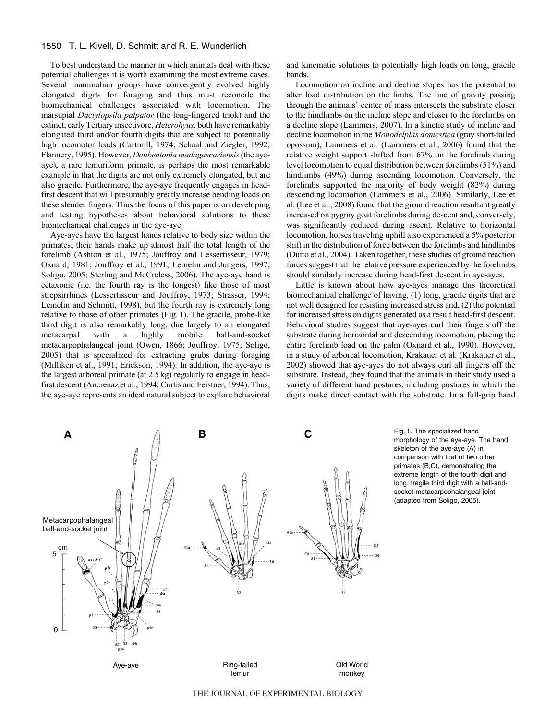# 1550 T. L. Kivell, D. Schmitt and R. E. Wunderlich

To best understand the manner in which animals deal with these potential challenges it is worth examining the most extreme cases. Several mammalian groups have convergently evolved highly elongated digits for foraging and thus must reconcile the biomechanical challenges associated with locomotion. The marsupial *Dactylopsila palpator* (the long-fingered triok) and the extinct, early Tertiary insectivore, *Heterohyus*, both have remarkably elongated third and/or fourth digits that are subject to potentially high locomotor loads (Cartmill, 1974; Schaal and Ziegler, 1992; Flannery, 1995). However, *Daubentonia madagascariensis*(the ayeaye), a rare lemuriform primate, is perhaps the most remarkable example in that the digits are not only extremely elongated, but are also gracile. Furthermore, the aye-aye frequently engages in headfirst descent that will presumably greatly increase bending loads on these slender fingers. Thus the focus of this paper is on developing and testing hypotheses about behavioral solutions to these biomechanical challenges in the aye-aye.

Aye-ayes have the largest hands relative to body size within the primates; their hands make up almost half the total length of the forelimb (Ashton et al., 1975; Jouffroy and Lessertisseur, 1979; Oxnard, 1981; Jouffroy et al., 1991; Lemelin and Jungers, 1997; Soligo, 2005; Sterling and McCreless, 2006). The aye-aye hand is ectaxonic (i.e. the fourth ray is the longest) like those of most strepsirrhines (Lessertisseur and Jouffroy, 1973; Strasser, 1994; Lemelin and Schmitt, 1998), but the fourth ray is extremely long relative to those of other primates (Fig. 1). The gracile, probe-like third digit is also remarkably long, due largely to an elongated metacarpal with a highly mobile ball-and-socket metacarpophalangeal joint (Owen, 1866; Jouffroy, 1975; Soligo, 2005) that is specialized for extracting grubs during foraging (Milliken et al., 1991; Erickson, 1994). In addition, the aye-aye is the largest arboreal primate (at 2.5kg) regularly to engage in headfirst descent (Ancrenaz et al., 1994; Curtis and Feistner, 1994). Thus, the aye-aye represents an ideal natural subject to explore behavioral and kinematic solutions to potentially high loads on long, gracile hands.

Locomotion on incline and decline slopes has the potential to alter load distribution on the limbs. The line of gravity passing through the animals' center of mass intersects the substrate closer to the hindlimbs on the incline slope and closer to the forelimbs on a decline slope (Lammers, 2007). In a kinetic study of incline and decline locomotion in the *Monodelphis domestica* (gray short-tailed opossum), Lammers et al. (Lammers et al., 2006) found that the relative weight support shifted from 67% on the forelimb during level locomotion to equal distribution between forelimbs (51%) and hindlimbs (49%) during ascending locomotion. Conversely, the forelimbs supported the majority of body weight (82%) during descending locomotion (Lammers et al., 2006). Similarly, Lee et al. (Lee et al., 2008) found that the ground reaction resultant greatly increased on pygmy goat forelimbs during descent and, conversely, was significantly reduced during ascent. Relative to horizontal locomotion, horses traveling uphill also experienced a 5% posterior shift in the distribution of force between the forelimbs and hindlimbs (Dutto et al., 2004). Taken together, these studies of ground reaction forces suggest that the relative pressure experienced by the forelimbs should similarly increase during head-first descent in aye-ayes.

Little is known about how aye-ayes manage this theoretical biomechanical challenge of having, (1) long, gracile digits that are not well designed for resisting increased stress and, (2) the potential for increased stress on digits generated as a result head-first descent. Behavioral studies suggest that aye-ayes curl their fingers off the substrate during horizontal and descending locomotion, placing the entire forelimb load on the palm (Oxnard et al., 1990). However, in a study of arboreal locomotion, Krakauer et al. (Krakauer et al., 2002) showed that aye-ayes do not always curl all fingers off the substrate. Instead, they found that the animals in their study used a variety of different hand postures, including postures in which the digits make direct contact with the substrate. In a full-grip hand



morphology of the aye-aye. The hand skeleton of the aye-aye (A) in comparison with that of two other primates (B,C), demonstrating the extreme length of the fourth digit and long, fragile third digit with a ball-andsocket metacarpophalangeal joint (adapted from Soligo, 2005).

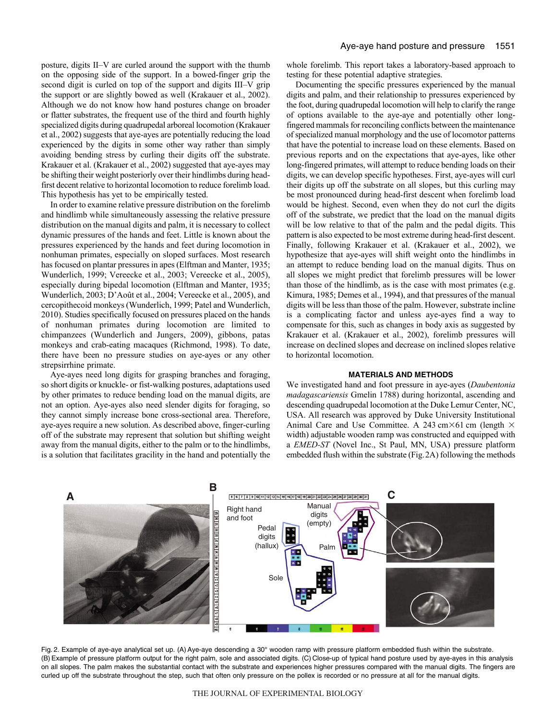posture, digits II–V are curled around the support with the thumb on the opposing side of the support. In a bowed-finger grip the second digit is curled on top of the support and digits III–V grip the support or are slightly bowed as well (Krakauer et al., 2002). Although we do not know how hand postures change on broader or flatter substrates, the frequent use of the third and fourth highly specialized digits during quadrupedal arboreal locomotion (Krakauer et al., 2002) suggests that aye-ayes are potentially reducing the load experienced by the digits in some other way rather than simply avoiding bending stress by curling their digits off the substrate. Krakauer et al. (Krakauer et al., 2002) suggested that aye-ayes may be shifting their weight posteriorly over their hindlimbs during headfirst decent relative to horizontal locomotion to reduce forelimb load. This hypothesis has yet to be empirically tested.

In order to examine relative pressure distribution on the forelimb and hindlimb while simultaneously assessing the relative pressure distribution on the manual digits and palm, it is necessary to collect dynamic pressures of the hands and feet. Little is known about the pressures experienced by the hands and feet during locomotion in nonhuman primates, especially on sloped surfaces. Most research has focused on plantar pressures in apes (Elftman and Manter, 1935; Wunderlich, 1999; Vereecke et al., 2003; Vereecke et al., 2005), especially during bipedal locomotion (Elftman and Manter, 1935; Wunderlich, 2003; D'Août et al., 2004; Vereecke et al., 2005), and cercopithecoid monkeys (Wunderlich, 1999; Patel and Wunderlich, 2010). Studies specifically focused on pressures placed on the hands of nonhuman primates during locomotion are limited to chimpanzees (Wunderlich and Jungers, 2009), gibbons, patas monkeys and crab-eating macaques (Richmond, 1998). To date, there have been no pressure studies on aye-ayes or any other strepsirrhine primate.

Aye-ayes need long digits for grasping branches and foraging, so short digits or knuckle- or fist-walking postures, adaptations used by other primates to reduce bending load on the manual digits, are not an option. Aye-ayes also need slender digits for foraging, so they cannot simply increase bone cross-sectional area. Therefore, aye-ayes require a new solution. As described above, finger-curling off of the substrate may represent that solution but shifting weight away from the manual digits, either to the palm or to the hindlimbs, is a solution that facilitates gracility in the hand and potentially the whole forelimb. This report takes a laboratory-based approach to testing for these potential adaptive strategies.

Documenting the specific pressures experienced by the manual digits and palm, and their relationship to pressures experienced by the foot, during quadrupedal locomotion will help to clarify the range of options available to the aye-aye and potentially other longfingered mammals for reconciling conflicts between the maintenance of specialized manual morphology and the use of locomotor patterns that have the potential to increase load on these elements. Based on previous reports and on the expectations that aye-ayes, like other long-fingered primates, will attempt to reduce bending loads on their digits, we can develop specific hypotheses. First, aye-ayes will curl their digits up off the substrate on all slopes, but this curling may be most pronounced during head-first descent when forelimb load would be highest. Second, even when they do not curl the digits off of the substrate, we predict that the load on the manual digits will be low relative to that of the palm and the pedal digits. This pattern is also expected to be most extreme during head-first descent. Finally, following Krakauer et al. (Krakauer et al., 2002), we hypothesize that aye-ayes will shift weight onto the hindlimbs in an attempt to reduce bending load on the manual digits. Thus on all slopes we might predict that forelimb pressures will be lower than those of the hindlimb, as is the case with most primates (e.g. Kimura, 1985; Demes et al., 1994), and that pressures of the manual digits will be less than those of the palm. However, substrate incline is a complicating factor and unless aye-ayes find a way to compensate for this, such as changes in body axis as suggested by Krakauer et al. (Krakauer et al., 2002), forelimb pressures will increase on declined slopes and decrease on inclined slopes relative to horizontal locomotion.

### **MATERIALS AND METHODS**

We investigated hand and foot pressure in aye-ayes (*Daubentonia madagascariensis* Gmelin 1788) during horizontal, ascending and descending quadrupedal locomotion at the Duke Lemur Center, NC, USA. All research was approved by Duke University Institutional Animal Care and Use Committee. A 243 cm $\times$ 61 cm (length  $\times$ width) adjustable wooden ramp was constructed and equipped with a *EMED-ST* (Novel Inc., St Paul, MN, USA) pressure platform embedded flush within the substrate (Fig.2A) following the methods



Fig. 2. Example of aye-aye analytical set up. (A) Aye-aye descending a 30° wooden ramp with pressure platform embedded flush within the substrate. (B) Example of pressure platform output for the right palm, sole and associated digits. (C) Close-up of typical hand posture used by aye-ayes in this analysis on all slopes. The palm makes the substantial contact with the substrate and experiences higher pressures compared with the manual digits. The fingers are curled up off the substrate throughout the step, such that often only pressure on the pollex is recorded or no pressure at all for the manual digits.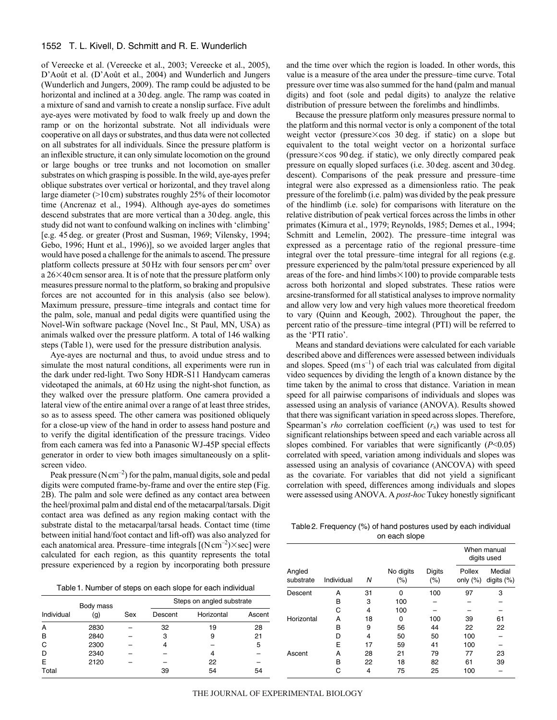# 1552 T. L. Kivell, D. Schmitt and R. E. Wunderlich

of Vereecke et al. (Vereecke et al., 2003; Vereecke et al., 2005), D'Août et al. (D'Août et al., 2004) and Wunderlich and Jungers (Wunderlich and Jungers, 2009). The ramp could be adjusted to be horizontal and inclined at a 30 deg. angle. The ramp was coated in a mixture of sand and varnish to create a nonslip surface. Five adult aye-ayes were motivated by food to walk freely up and down the ramp or on the horizontal substrate. Not all individuals were cooperative on all days or substrates, and thus data were not collected on all substrates for all individuals. Since the pressure platform is an inflexible structure, it can only simulate locomotion on the ground or large boughs or tree trunks and not locomotion on smaller substrates on which grasping is possible. In the wild, aye-ayes prefer oblique substrates over vertical or horizontal, and they travel along large diameter (>10cm) substrates roughly 25% of their locomotor time (Ancrenaz et al., 1994). Although aye-ayes do sometimes descend substrates that are more vertical than a 30 deg. angle, this study did not want to confound walking on inclines with 'climbing' [e.g. 45 deg. or greater (Prost and Susman, 1969; Vilensky, 1994; Gebo, 1996; Hunt et al., 1996)], so we avoided larger angles that would have posed a challenge for the animals to ascend. The pressure platform collects pressure at 50 Hz with four sensors per cm<sup>2</sup> over a  $26\times40$  cm sensor area. It is of note that the pressure platform only measures pressure normal to the platform, so braking and propulsive forces are not accounted for in this analysis (also see below). Maximum pressure, pressure–time integrals and contact time for the palm, sole, manual and pedal digits were quantified using the Novel-Win software package (Novel Inc., St Paul, MN, USA) as animals walked over the pressure platform. A total of 146 walking steps (Table 1), were used for the pressure distribution analysis.

Aye-ayes are nocturnal and thus, to avoid undue stress and to simulate the most natural conditions, all experiments were run in the dark under red-light. Two Sony HDR-S11 Handycam cameras videotaped the animals, at 60 Hz using the night-shot function, as they walked over the pressure platform. One camera provided a lateral view of the entire animal over a range of at least three strides, so as to assess speed. The other camera was positioned obliquely for a close-up view of the hand in order to assess hand posture and to verify the digital identification of the pressure tracings. Video from each camera was fed into a Panasonic WJ-45P special effects generator in order to view both images simultaneously on a splitscreen video.

Peak pressure (Ncm<sup>-2</sup>) for the palm, manual digits, sole and pedal digits were computed frame-by-frame and over the entire step (Fig. 2B). The palm and sole were defined as any contact area between the heel/proximal palm and distal end of the metacarpal/tarsals. Digit contact area was defined as any region making contact with the substrate distal to the metacarpal/tarsal heads. Contact time (time between initial hand/foot contact and lift-off) was also analyzed for each anatomical area. Pressure–time integrals  $[(N \text{ cm}^{-2}) \times \text{sec}]$  were calculated for each region, as this quantity represents the total pressure experienced by a region by incorporating both pressure and the time over which the region is loaded. In other words, this value is a measure of the area under the pressure–time curve. Total pressure over time was also summed for the hand (palm and manual digits) and foot (sole and pedal digits) to analyze the relative distribution of pressure between the forelimbs and hindlimbs.

Because the pressure platform only measures pressure normal to the platform and this normal vector is only a component of the total weight vector (pressure×cos 30 deg. if static) on a slope but equivalent to the total weight vector on a horizontal surface (pressure-cos 90 deg. if static), we only directly compared peak pressure on equally sloped surfaces (i.e. 30 deg. ascent and 30 deg. descent). Comparisons of the peak pressure and pressure–time integral were also expressed as a dimensionless ratio. The peak pressure of the forelimb (i.e. palm) was divided by the peak pressure of the hindlimb (i.e. sole) for comparisons with literature on the relative distribution of peak vertical forces across the limbs in other primates (Kimura et al., 1979; Reynolds, 1985; Demes et al., 1994; Schmitt and Lemelin, 2002). The pressure–time integral was expressed as a percentage ratio of the regional pressure–time integral over the total pressure–time integral for all regions (e.g. pressure experienced by the palm/total pressure experienced by all areas of the fore- and hind limbs $\times$ 100) to provide comparable tests across both horizontal and sloped substrates. These ratios were arcsine-transformed for all statistical analyses to improve normality and allow very low and very high values more theoretical freedom to vary (Quinn and Keough, 2002). Throughout the paper, the percent ratio of the pressure–time integral (PTI) will be referred to as the 'PTI ratio'.

Means and standard deviations were calculated for each variable described above and differences were assessed between individuals and slopes. Speed  $(m s^{-1})$  of each trial was calculated from digital video sequences by dividing the length of a known distance by the time taken by the animal to cross that distance. Variation in mean speed for all pairwise comparisons of individuals and slopes was assessed using an analysis of variance (ANOVA). Results showed that there was significant variation in speed across slopes. Therefore, Spearman's *rho* correlation coefficient (*r*s) was used to test for significant relationships between speed and each variable across all slopes combined. For variables that were significantly (*P*<0.05) correlated with speed, variation among individuals and slopes was assessed using an analysis of covariance (ANCOVA) with speed as the covariate. For variables that did not yield a significant correlation with speed, differences among individuals and slopes were assessed using ANOVA. A *post-hoc* Tukey honestly significant

Table2. Frequency (%) of hand postures used by each individual on each slope

Angled **No digits** Digits Pollex Medial substrate Individual N (%) (%) only (%) digits (%)

When manual digits used

| Table 1. Number of steps on each slope for each individual |
|------------------------------------------------------------|
|------------------------------------------------------------|

|            |           |     | -----                     |            |        | Descent    | A | -31 |     | 100 | 97  |    |
|------------|-----------|-----|---------------------------|------------|--------|------------|---|-----|-----|-----|-----|----|
|            | Body mass |     | Steps on angled substrate |            |        |            | ◠ | 100 |     |     |     |    |
| Individual | (g)       | Sex | Descent                   | Horizontal | Ascent |            |   | 4   | 100 |     |     |    |
|            |           |     |                           |            |        | Horizontal | А | 18  |     | 100 | 39  | 61 |
| А          | 2830      |     | 32                        | 19         | 28     |            | в | 9   | 56  | 44  | 22  | 22 |
| В          | 2840      |     |                           |            | 21     |            |   | 4   | 50  | 50  | 100 |    |
| С          | 2300      |     |                           |            |        |            |   |     | 59  | 41  | 100 |    |
| D          | 2340      |     |                           |            | -      | Ascent     | A | 28  | 21  | 79  |     | 23 |
| E          | 2120      |     |                           | 22         |        |            |   | 22  | 18  | 82  | 61  | 39 |
| Total      |           |     | 39                        | 54         | 54     |            |   |     | 75  | 25  | 100 |    |
|            |           |     |                           |            |        |            |   |     |     |     |     |    |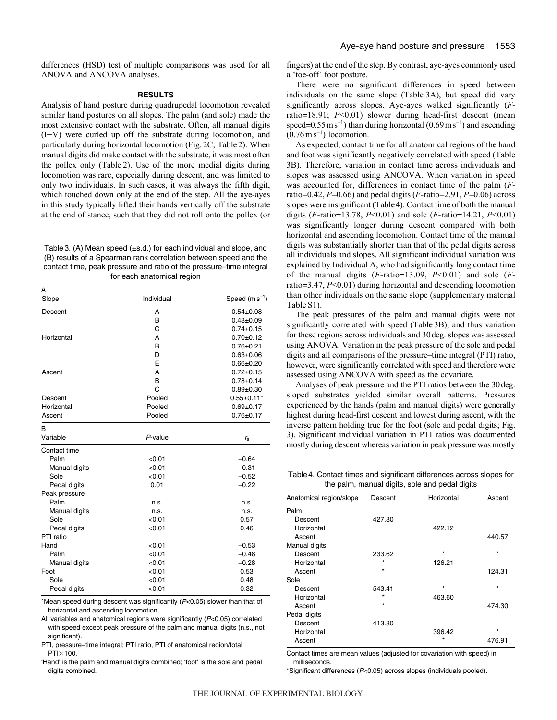differences (HSD) test of multiple comparisons was used for all ANOVA and ANCOVA analyses.

#### **RESULTS**

Analysis of hand posture during quadrupedal locomotion revealed similar hand postures on all slopes. The palm (and sole) made the most extensive contact with the substrate. Often, all manual digits (I–V) were curled up off the substrate during locomotion, and particularly during horizontal locomotion (Fig. 2C; Table 2). When manual digits did make contact with the substrate, it was most often the pollex only (Table 2). Use of the more medial digits during locomotion was rare, especially during descent, and was limited to only two individuals. In such cases, it was always the fifth digit, which touched down only at the end of the step. All the aye-ayes in this study typically lifted their hands vertically off the substrate at the end of stance, such that they did not roll onto the pollex (or

Table3. (A) Mean speed (±s.d.) for each individual and slope, and (B) results of a Spearman rank correlation between speed and the contact time, peak pressure and ratio of the pressure–time integral for each anatomical region

| A             |            |                    |
|---------------|------------|--------------------|
| Slope         | Individual | Speed $(m s^{-1})$ |
| Descent       | A          | $0.54 \pm 0.08$    |
|               | B          | $0.43 + 0.09$      |
|               | C          | $0.74 \pm 0.15$    |
| Horizontal    | A          | $0.70 + 0.12$      |
|               | B          | $0.76 + 0.21$      |
|               | D          | $0.63 + 0.06$      |
|               | F          | $0.66 \pm 0.20$    |
| Ascent        | A          | $0.72 \pm 0.15$    |
|               | B          | $0.78 + 0.14$      |
|               | C          | $0.89 + 0.30$      |
| Descent       | Pooled     | $0.55 \pm 0.11*$   |
| Horizontal    | Pooled     | $0.69 + 0.17$      |
| Ascent        | Pooled     | $0.76 \pm 0.17$    |
| в             |            |                    |
| Variable      | P-value    | $r_{\rm s}$        |
| Contact time  |            |                    |
| Palm          | < 0.01     | $-0.64$            |
| Manual digits | < 0.01     | $-0.31$            |
| Sole          | < 0.01     | $-0.52$            |
| Pedal digits  | 0.01       | $-0.22$            |
| Peak pressure |            |                    |
| Palm          | n.s.       | n.s.               |
| Manual digits | n.s.       | n.s.               |
| Sole          | < 0.01     | 0.57               |
| Pedal digits  | < 0.01     | 0.46               |
| PTI ratio     |            |                    |
| Hand          | < 0.01     | $-0.53$            |
| Palm          | < 0.01     | $-0.48$            |
| Manual digits | < 0.01     | $-0.28$            |
| Foot          | < 0.01     | 0.53               |
| Sole          | < 0.01     | 0.48               |
| Pedal digits  | < 0.01     | 0.32               |

\*Mean speed during descent was significantly  $(P<0.05)$  slower than that of horizontal and ascending locomotion.

All variables and anatomical regions were significantly (P<0.05) correlated with speed except peak pressure of the palm and manual digits (n.s., not significant).

PTI, pressure–time integral; PTI ratio, PTI of anatomical region/total PTI $\times$ 100.

'Hand' is the palm and manual digits combined; 'foot' is the sole and pedal digits combined.

fingers) at the end of the step. By contrast, aye-ayes commonly used a 'toe-off' foot posture.

There were no significant differences in speed between individuals on the same slope (Table 3A), but speed did vary significantly across slopes. Aye-ayes walked significantly (*F*ratio=18.91; *P*<0.01) slower during head-first descent (mean speed= $0.55 \text{ m s}^{-1}$ ) than during horizontal ( $0.69 \text{ m s}^{-1}$ ) and ascending  $(0.76 \,\mathrm{m\,s}^{-1})$  locomotion.

As expected, contact time for all anatomical regions of the hand and foot was significantly negatively correlated with speed (Table 3B). Therefore, variation in contact time across individuals and slopes was assessed using ANCOVA. When variation in speed was accounted for, differences in contact time of the palm (*F*ratio=0.42, *P*=0.66) and pedal digits (*F*-ratio=2.91, *P*=0.06) across slopes were insignificant (Table4). Contact time of both the manual digits (*F*-ratio=13.78, *P*<0.01) and sole (*F*-ratio=14.21, *P*<0.01) was significantly longer during descent compared with both horizontal and ascending locomotion. Contact time of the manual digits was substantially shorter than that of the pedal digits across all individuals and slopes. All significant individual variation was explained by Individual A, who had significantly long contact time of the manual digits (*F*-ratio=13.09, *P*<0.01) and sole (*F*ratio=3.47, *P*<0.01) during horizontal and descending locomotion than other individuals on the same slope (supplementary material Table S1).

The peak pressures of the palm and manual digits were not significantly correlated with speed (Table 3B), and thus variation for these regions across individuals and 30deg. slopes was assessed using ANOVA. Variation in the peak pressure of the sole and pedal digits and all comparisons of the pressure–time integral (PTI) ratio, however, were significantly correlated with speed and therefore were assessed using ANCOVA with speed as the covariate.

Analyses of peak pressure and the PTI ratios between the 30deg. sloped substrates yielded similar overall patterns. Pressures experienced by the hands (palm and manual digits) were generally highest during head-first descent and lowest during ascent, with the inverse pattern holding true for the foot (sole and pedal digits; Fig. 3). Significant individual variation in PTI ratios was documented mostly during descent whereas variation in peak pressure was mostly

Table4. Contact times and significant differences across slopes for the palm, manual digits, sole and pedal digits

| Anatomical region/slope | Descent | Horizontal | Ascent  |
|-------------------------|---------|------------|---------|
| Palm                    |         |            |         |
| Descent                 | 427.80  |            |         |
| Horizontal              |         | 422.12     |         |
| Ascent                  |         |            | 440.57  |
| Manual digits           |         |            |         |
| Descent                 | 233.62  | $\star$    | $\star$ |
| Horizontal              | $\star$ | 126.21     |         |
| Ascent                  | ÷       |            | 124.31  |
| Sole                    |         |            |         |
| Descent                 | 543.41  | $\star$    | $\star$ |
| Horizontal              | $\star$ | 463.60     |         |
| Ascent                  | $\star$ |            | 474.30  |
| Pedal digits            |         |            |         |
| Descent                 | 413.30  |            |         |
| Horizontal              |         | 396.42     | $\star$ |
| Ascent                  |         | $\star$    | 476.91  |
|                         |         |            |         |

Contact times are mean values (adjusted for covariation with speed) in milliseconds.

\*Significant differences (P<0.05) across slopes (individuals pooled).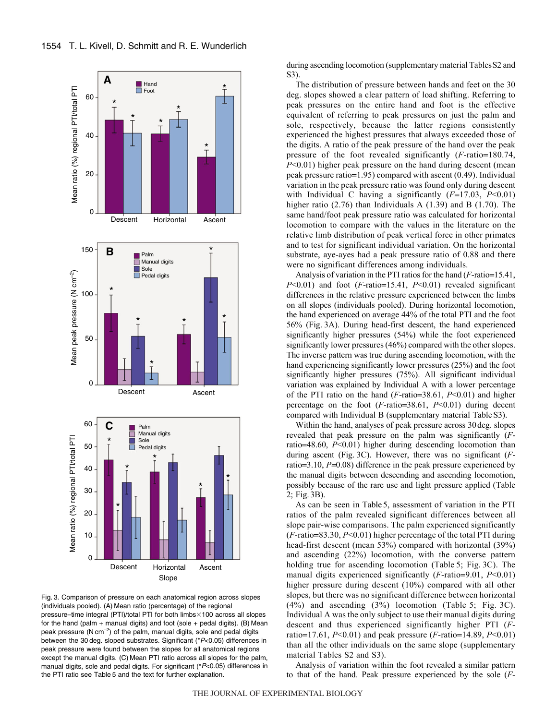

Fig. 3. Comparison of pressure on each anatomical region across slopes (individuals pooled). (A) Mean ratio (percentage) of the regional pressure–time integral (PTI)/total PTI for both limbs×100 across all slopes for the hand (palm + manual digits) and foot (sole + pedal digits). (B) Mean peak pressure ( $N \text{ cm}^{-2}$ ) of the palm, manual digits, sole and pedal digits between the 30 deg. sloped substrates. Significant (\*P<0.05) differences in peak pressure were found between the slopes for all anatomical regions except the manual digits. (C) Mean PTI ratio across all slopes for the palm, manual digits, sole and pedal digits. For significant (\*P<0.05) differences in the PTI ratio see Table 5 and the text for further explanation.

during ascending locomotion (supplementary material TablesS2 and S3).

The distribution of pressure between hands and feet on the 30 deg. slopes showed a clear pattern of load shifting. Referring to peak pressures on the entire hand and foot is the effective equivalent of referring to peak pressures on just the palm and sole, respectively, because the latter regions consistently experienced the highest pressures that always exceeded those of the digits. A ratio of the peak pressure of the hand over the peak pressure of the foot revealed significantly (*F*-ratio=180.74, *P*<0.01) higher peak pressure on the hand during descent (mean peak pressure ratio=1.95) compared with ascent (0.49). Individual variation in the peak pressure ratio was found only during descent with Individual C having a significantly (*F*=17.03, *P*<0.01) higher ratio (2.76) than Individuals A (1.39) and B (1.70). The same hand/foot peak pressure ratio was calculated for horizontal locomotion to compare with the values in the literature on the relative limb distribution of peak vertical force in other primates and to test for significant individual variation. On the horizontal substrate, aye-ayes had a peak pressure ratio of 0.88 and there were no significant differences among individuals.

Analysis of variation in the PTI ratios for the hand (*F*-ratio=15.41, *P*<0.01) and foot (*F*-ratio=15.41, *P*<0.01) revealed significant differences in the relative pressure experienced between the limbs on all slopes (individuals pooled). During horizontal locomotion, the hand experienced on average 44% of the total PTI and the foot 56% (Fig. 3A). During head-first descent, the hand experienced significantly higher pressures (54%) while the foot experienced significantly lower pressures (46%) compared with the other slopes. The inverse pattern was true during ascending locomotion, with the hand experiencing significantly lower pressures (25%) and the foot significantly higher pressures (75%). All significant individual variation was explained by Individual A with a lower percentage of the PTI ratio on the hand (*F*-ratio=38.61, *P*<0.01) and higher percentage on the foot (*F*-ratio=38.61, *P*<0.01) during decent compared with Individual B (supplementary material Table S3).

Within the hand, analyses of peak pressure across 30deg. slopes revealed that peak pressure on the palm was significantly (*F*ratio=48.60, *P*<0.01) higher during descending locomotion than during ascent (Fig. 3C). However, there was no significant (*F*ratio=3.10, *P*=0.08) difference in the peak pressure experienced by the manual digits between descending and ascending locomotion, possibly because of the rare use and light pressure applied (Table 2; Fig. 3B).

As can be seen in Table 5, assessment of variation in the PTI ratios of the palm revealed significant differences between all slope pair-wise comparisons. The palm experienced significantly (*F*-ratio=83.30, *P*<0.01) higher percentage of the total PTI during head-first descent (mean 53%) compared with horizontal (39%) and ascending (22%) locomotion, with the converse pattern holding true for ascending locomotion (Table 5; Fig. 3C). The manual digits experienced significantly (*F*-ratio=9.01, *P*<0.01) higher pressure during descent (10%) compared with all other slopes, but there was no significant difference between horizontal (4%) and ascending (3%) locomotion (Table 5; Fig. 3C). Individual A was the only subject to use their manual digits during descent and thus experienced significantly higher PTI (*F*ratio=17.61, *P*<0.01) and peak pressure (*F*-ratio=14.89, *P*<0.01) than all the other individuals on the same slope (supplementary material Tables S2 and S3).

Analysis of variation within the foot revealed a similar pattern to that of the hand. Peak pressure experienced by the sole (*F*-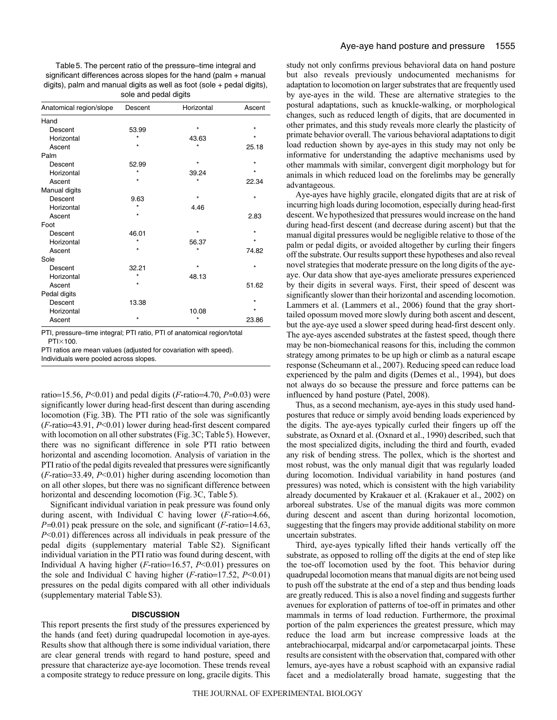Table5. The percent ratio of the pressure–time integral and significant differences across slopes for the hand (palm + manual digits), palm and manual digits as well as foot (sole + pedal digits), sole and pedal digits

| Anatomical region/slope | Descent | Horizontal | Ascent  |
|-------------------------|---------|------------|---------|
| Hand                    |         |            |         |
| Descent                 | 53.99   | $\star$    | $\star$ |
| Horizontal              | $\star$ | 43.63      | $\star$ |
| Ascent                  | $\star$ | $\star$    | 25.18   |
| Palm                    |         |            |         |
| Descent                 | 52.99   | $\star$    | $\star$ |
| Horizontal              | ÷       | 39.24      | $\star$ |
| Ascent                  |         | $\star$    | 22.34   |
| Manual digits           |         |            |         |
| Descent                 | 9.63    |            | $\star$ |
| Horizontal              | $\star$ | 4.46       |         |
| Ascent                  | $\star$ |            | 2.83    |
| Foot                    |         |            |         |
| Descent                 | 46.01   | $\star$    | $\star$ |
| Horizontal              | $\star$ | 56.37      | $\star$ |
| Ascent                  | $\star$ | $\star$    | 74.82   |
| Sole                    |         |            |         |
| Descent                 | 32.21   | $\star$    | $\star$ |
| Horizontal              | $\star$ | 48.13      |         |
| Ascent                  | $\star$ |            | 51.62   |
| Pedal digits            |         |            |         |
| Descent                 | 13.38   |            | $\star$ |
| Horizontal              |         | 10.08      | $\star$ |
| Ascent                  | $\star$ | ×          | 23.86   |

PTI, pressure–time integral; PTI ratio, PTI of anatomical region/total PTI×100.

PTI ratios are mean values (adjusted for covariation with speed).

Individuals were pooled across slopes.

ratio=15.56,  $P<0.01$ ) and pedal digits ( $F$ -ratio=4.70,  $P=0.03$ ) were significantly lower during head-first descent than during ascending locomotion (Fig. 3B). The PTI ratio of the sole was significantly (*F*-ratio=43.91, *P*<0.01) lower during head-first descent compared with locomotion on all other substrates (Fig.3C; Table5). However, there was no significant difference in sole PTI ratio between horizontal and ascending locomotion. Analysis of variation in the PTI ratio of the pedal digits revealed that pressures were significantly (*F*-ratio=33.49, *P*<0.01) higher during ascending locomotion than on all other slopes, but there was no significant difference between horizontal and descending locomotion (Fig. 3C, Table 5).

Significant individual variation in peak pressure was found only during ascent, with Individual C having lower (*F*-ratio=4.66, *P*=0.01) peak pressure on the sole, and significant (*F*-ratio=14.63, *P*<0.01) differences across all individuals in peak pressure of the pedal digits (supplementary material Table S2). Significant individual variation in the PTI ratio was found during descent, with Individual A having higher (*F*-ratio=16.57, *P*<0.01) pressures on the sole and Individual C having higher (*F*-ratio=17.52, *P*<0.01) pressures on the pedal digits compared with all other individuals (supplementary material Table S3).

## **DISCUSSION**

This report presents the first study of the pressures experienced by the hands (and feet) during quadrupedal locomotion in aye-ayes. Results show that although there is some individual variation, there are clear general trends with regard to hand posture, speed and pressure that characterize aye-aye locomotion. These trends reveal a composite strategy to reduce pressure on long, gracile digits. This study not only confirms previous behavioral data on hand posture but also reveals previously undocumented mechanisms for adaptation to locomotion on larger substrates that are frequently used by aye-ayes in the wild. These are alternative strategies to the postural adaptations, such as knuckle-walking, or morphological changes, such as reduced length of digits, that are documented in other primates, and this study reveals more clearly the plasticity of primate behavior overall. The various behavioral adaptations to digit load reduction shown by aye-ayes in this study may not only be informative for understanding the adaptive mechanisms used by other mammals with similar, convergent digit morphology but for animals in which reduced load on the forelimbs may be generally advantageous.

Aye-ayes have highly gracile, elongated digits that are at risk of incurring high loads during locomotion, especially during head-first descent. We hypothesized that pressures would increase on the hand during head-first descent (and decrease during ascent) but that the manual digital pressures would be negligible relative to those of the palm or pedal digits, or avoided altogether by curling their fingers off the substrate. Our results support these hypotheses and also reveal novel strategies that moderate pressure on the long digits of the ayeaye. Our data show that aye-ayes ameliorate pressures experienced by their digits in several ways. First, their speed of descent was significantly slower than their horizontal and ascending locomotion. Lammers et al. (Lammers et al., 2006) found that the gray shorttailed opossum moved more slowly during both ascent and descent, but the aye-aye used a slower speed during head-first descent only. The aye-ayes ascended substrates at the fastest speed, though there may be non-biomechanical reasons for this, including the common strategy among primates to be up high or climb as a natural escape response (Scheumann et al., 2007). Reducing speed can reduce load experienced by the palm and digits (Demes et al., 1994), but does not always do so because the pressure and force patterns can be influenced by hand posture (Patel, 2008).

Thus, as a second mechanism, aye-ayes in this study used handpostures that reduce or simply avoid bending loads experienced by the digits. The aye-ayes typically curled their fingers up off the substrate, as Oxnard et al. (Oxnard et al., 1990) described, such that the most specialized digits, including the third and fourth, evaded any risk of bending stress. The pollex, which is the shortest and most robust, was the only manual digit that was regularly loaded during locomotion. Individual variability in hand postures (and pressures) was noted, which is consistent with the high variability already documented by Krakauer et al. (Krakauer et al., 2002) on arboreal substrates. Use of the manual digits was more common during descent and ascent than during horizontal locomotion, suggesting that the fingers may provide additional stability on more uncertain substrates.

Third, aye-ayes typically lifted their hands vertically off the substrate, as opposed to rolling off the digits at the end of step like the toe-off locomotion used by the foot. This behavior during quadrupedal locomotion means that manual digits are not being used to push off the substrate at the end of a step and thus bending loads are greatly reduced. This is also a novel finding and suggests further avenues for exploration of patterns of toe-off in primates and other mammals in terms of load reduction. Furthermore, the proximal portion of the palm experiences the greatest pressure, which may reduce the load arm but increase compressive loads at the antebrachiocarpal, midcarpal and/or carpometacarpal joints. These results are consistent with the observation that, compared with other lemurs, aye-ayes have a robust scaphoid with an expansive radial facet and a mediolaterally broad hamate, suggesting that the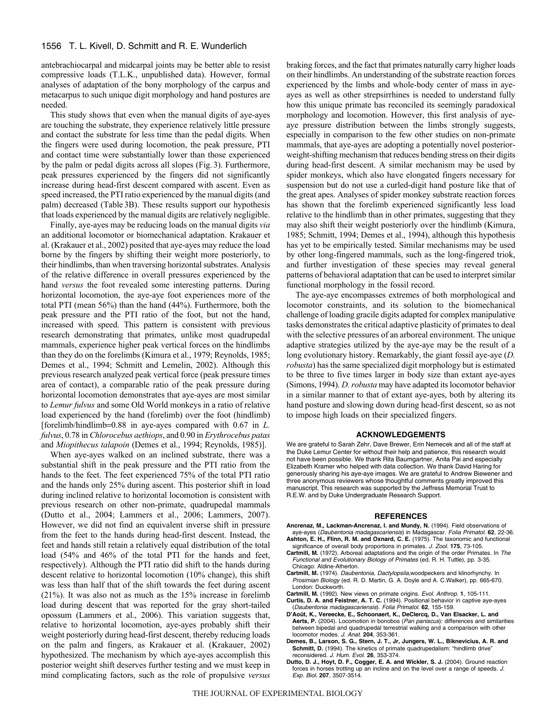antebrachiocarpal and midcarpal joints may be better able to resist compressive loads (T.L.K., unpublished data). However, formal analyses of adaptation of the bony morphology of the carpus and metacarpus to such unique digit morphology and hand postures are needed.

This study shows that even when the manual digits of aye-ayes are touching the substrate, they experience relatively little pressure and contact the substrate for less time than the pedal digits. When the fingers were used during locomotion, the peak pressure, PTI and contact time were substantially lower than those experienced by the palm or pedal digits across all slopes (Fig. 3). Furthermore, peak pressures experienced by the fingers did not significantly increase during head-first descent compared with ascent. Even as speed increased, the PTI ratio experienced by the manual digits (and palm) decreased (Table 3B). These results support our hypothesis that loads experienced by the manual digits are relatively negligible.

Finally, aye-ayes may be reducing loads on the manual digits *via* an additional locomotor or biomechanical adaptation. Krakauer et al. (Krakauer et al., 2002) posited that aye-ayes may reduce the load borne by the fingers by shifting their weight more posteriorly, to their hindlimbs, than when traversing horizontal substrates. Analysis of the relative difference in overall pressures experienced by the hand *versus* the foot revealed some interesting patterns. During horizontal locomotion, the aye-aye foot experiences more of the total PTI (mean 56%) than the hand (44%). Furthermore, both the peak pressure and the PTI ratio of the foot, but not the hand, increased with speed. This pattern is consistent with previous research demonstrating that primates, unlike most quadrupedal mammals, experience higher peak vertical forces on the hindlimbs than they do on the forelimbs (Kimura et al., 1979; Reynolds, 1985; Demes et al., 1994; Schmitt and Lemelin, 2002). Although this previous research analyzed peak vertical force (peak pressure times area of contact), a comparable ratio of the peak pressure during horizontal locomotion demonstrates that aye-ayes are most similar to *Lemur fulvus* and some Old World monkeys in a ratio of relative load experienced by the hand (forelimb) over the foot (hindlimb) [forelimb/hindlimb=0.88 in aye-ayes compared with 0.67 in *L. fulvus*, 0.78 in *Chlorocebus aethiops*, and 0.90 in *Erythrocebus patas* and *Miopithecus talapoin* (Demes et al., 1994; Reynolds, 1985)].

When aye-ayes walked on an inclined substrate, there was a substantial shift in the peak pressure and the PTI ratio from the hands to the feet. The feet experienced 75% of the total PTI ratio and the hands only 25% during ascent. This posterior shift in load during inclined relative to horizontal locomotion is consistent with previous research on other non-primate, quadrupedal mammals (Dutto et al., 2004; Lammers et al., 2006; Lammers, 2007). However, we did not find an equivalent inverse shift in pressure from the feet to the hands during head-first descent. Instead, the feet and hands still retain a relatively equal distribution of the total load (54% and 46% of the total PTI for the hands and feet, respectively). Although the PTI ratio did shift to the hands during descent relative to horizontal locomotion (10% change), this shift was less than half that of the shift towards the feet during ascent (21%). It was also not as much as the 15% increase in forelimb load during descent that was reported for the gray short-tailed opossum (Lammers et al., 2006). This variation suggests that, relative to horizontal locomotion, aye-ayes probably shift their weight posteriorly during head-first descent, thereby reducing loads on the palm and fingers, as Krakauer et al. (Krakauer, 2002) hypothesized. The mechanism by which aye-ayes accomplish this posterior weight shift deserves further testing and we must keep in mind complicating factors, such as the role of propulsive *versus* braking forces, and the fact that primates naturally carry higher loads on their hindlimbs. An understanding of the substrate reaction forces experienced by the limbs and whole-body center of mass in ayeayes as well as other strepsirrhines is needed to understand fully how this unique primate has reconciled its seemingly paradoxical morphology and locomotion. However, this first analysis of ayeaye pressure distribution between the limbs strongly suggests, especially in comparison to the few other studies on non-primate mammals, that aye-ayes are adopting a potentially novel posteriorweight-shifting mechanism that reduces bending stress on their digits during head-first descent. A similar mechanism may be used by spider monkeys, which also have elongated fingers necessary for suspension but do not use a curled-digit hand posture like that of the great apes. Analyses of spider monkey substrate reaction forces has shown that the forelimb experienced significantly less load relative to the hindlimb than in other primates, suggesting that they may also shift their weight posteriorly over the hindlimb (Kimura, 1985; Schmitt, 1994; Demes et al., 1994), although this hypothesis has yet to be empirically tested. Similar mechanisms may be used by other long-fingered mammals, such as the long-fingered triok, and further investigation of these species may reveal general patterns of behavioral adaptation that can be used to interpret similar functional morphology in the fossil record.

The aye-aye encompasses extremes of both morphological and locomotor constraints, and its solution to the biomechanical challenge of loading gracile digits adapted for complex manipulative tasks demonstrates the critical adaptive plasticity of primates to deal with the selective pressures of an arboreal environment. The unique adaptive strategies utilized by the aye-aye may be the result of a long evolutionary history. Remarkably, the giant fossil aye-aye (*D. robusta*) has the same specialized digit morphology but is estimated to be three to five times larger in body size than extant aye-ayes (Simons, 1994). *D. robusta* may have adapted its locomotor behavior in a similar manner to that of extant aye-ayes, both by altering its hand posture and slowing down during head-first descent, so as not to impose high loads on their specialized fingers.

## **ACKNOWLEDGEMENTS**

We are grateful to Sarah Zehr, Dave Brewer, Erin Nemecek and all of the staff at the Duke Lemur Center for without their help and patience, this research would not have been possible. We thank Rita Baumgartner, Anita Pai and especially Elizabeth Kramer who helped with data collection. We thank David Haring for generously sharing his aye-aye images. We are grateful to Andrew Biewener and three anonymous reviewers whose thoughtful comments greatly improved this manuscript. This research was supported by the Jeffress Memorial Trust to R.E.W. and by Duke Undergraduate Research Support.

#### **REFERENCES**

- **Ancrenaz, M., Lackman-Ancrenaz, I. and Mundy, N.** (1994). Field observations of aye-ayes (Daubentonia madagascariensis) in Madagascar. Folia Primatol. **62**, 22-36. **Ashton, E. H., Flinn, R. M. and Oxnard, C. E.** (1975). The taxonomic and functional
- significance of overall body proportions in primates. J. Zool. **175**, 73-105. **Cartmill, M.** (1972). Arboreal adaptations and the origin of the order Primates. In The
- Functional and Evolutionary Biology of Primates (ed. R. H. Tuttle), pp. 3-35. Chicago: Aldine-Atherton.
- **Cartmill, M.** (1974). Daubentonia, Dactylopsila,woodpeckers and klinorhynchy. In Prosimian Biology (ed. R. D. Martin, G. A. Doyle and A. C.Walker), pp. 665-670. London: Duckworth.
- **Cartmill, M.** (1992). New views on primate origins. Evol. Anthrop. **1**, 105-111.
- **Curtis, D. A. and Feistner, A. T. C.** (1994). Positional behavior in captive aye-ayes (Daubentonia madagascariensis). Folia Primatol. **62**, 155-159.
- **D'Août, K., Vereecke, E., Schoonaert, K., DeClercq, D., Van Elsacker, L. and Aerts, P.** (2004). Locomotion in bonobos (Pan paniscus): differences and similarities between bipedal and quadrupedal terrestrial walking and a comparison with other locomotor modes. J. Anat. **204**, 353-361.
- **Demes, B., Larson, S. G., Stern, J. T., Jr, Jungers, W. L., Biknevicius, A. R. and** Schmitt, D. (1994). The kinetics of primate quadrupedalism: "hindlimb drive" reconsidered. J. Hum. Evol. **26**, 353-374.
- **Dutto, D. J., Hoyt, D. F., Cogger, E. A. and Wickler, S. J.** (2004). Ground reaction forces in horses trotting up an incline and on the level over a range of speeds. J. Exp. Biol. **207**, 3507-3514.